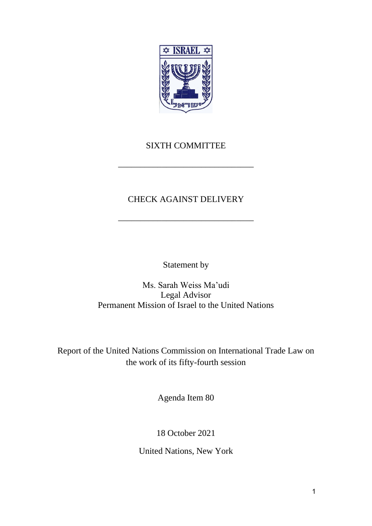

## SIXTH COMMITTEE

\_\_\_\_\_\_\_\_\_\_\_\_\_\_\_\_\_\_\_\_\_\_\_\_\_\_\_\_\_\_\_

# CHECK AGAINST DELIVERY

\_\_\_\_\_\_\_\_\_\_\_\_\_\_\_\_\_\_\_\_\_\_\_\_\_\_\_\_\_\_\_

Statement by

Ms. Sarah Weiss Ma'udi Legal Advisor Permanent Mission of Israel to the United Nations

Report of the United Nations Commission on International Trade Law on the work of its fifty-fourth session

Agenda Item 80

18 October 2021

United Nations, New York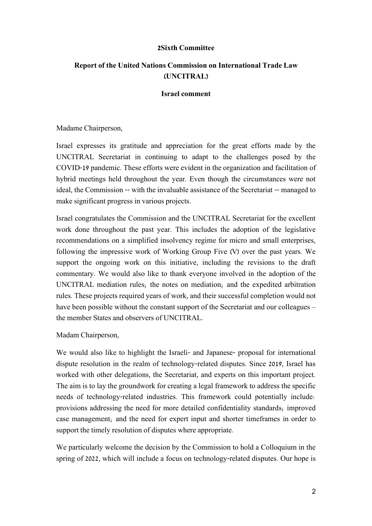### **2Sixth Committee**

### **Report of the United Nations Commission on International Trade Law (UNCITRAL)**

#### **Israel comment**

Madame Chairperson,

Israel expresses its gratitude and appreciation for the great efforts made by the UNCITRAL Secretariat in continuing to adapt to the challenges posed by the COVID-19 pandemic. These efforts were evident in the organization and facilitation of hybrid meetings held throughout the year. Even though the circumstances were not ideal, the Commission -- with the invaluable assistance of the Secretariat -- managed to make significant progress in various projects.

Israel congratulates the Commission and the UNCITRAL Secretariat for the excellent work done throughout the past year. This includes the adoption of the legislative recommendations on a simplified insolvency regime for micro and small enterprises, following the impressive work of Working Group Five (V) over the past years. We support the ongoing work on this initiative, including the revisions to the draft commentary. We would also like to thank everyone involved in the adoption of the UNCITRAL mediation rules; the notes on mediation; and the expedited arbitration rules. These projects required years of work, and their successful completion would not have been possible without the constant support of the Secretariat and our colleagues – the member States and observers of UNCITRAL.

Madam Chairperson,

We would also like to highlight the Israeli- and Japanese- proposal for international dispute resolution in the realm of technology-related disputes. Since 2019, Israel has worked with other delegations, the Secretariat, and experts on this important project. The aim is to lay the groundwork for creating a legal framework to address the specific needs of technology-related industries. This framework could potentially include: provisions addressing the need for more detailed confidentiality standards; improved case management; and the need for expert input and shorter timeframes in order to support the timely resolution of disputes where appropriate.

We particularly welcome the decision by the Commission to hold a Colloquium in the spring of 2022, which will include a focus on technology-related disputes. Our hope is